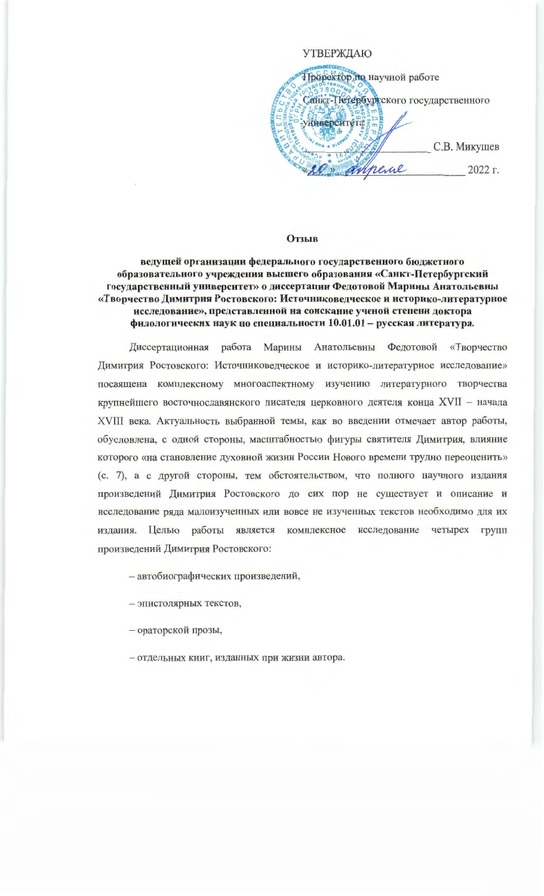## **УТВЕРЖДАЮ**

Пророктор но научной работе Санкт-Петербургского государственного университета С.В. Микушев it mineral 2022 г.

## **Отзыв**

ведущей организации федерального государственного бюджетного образовательного учреждения высшего образования «Санкт-Петербургский государственный университет» о диссертации Федотовой Марины Анатольевны «Творчество Димитрия Ростовского: Источниковедческое и историко-литературное исследование», представленной на соискание ученой степени доктора филологических наук по специальности 10.01.01 - русская литература.

Диссертационная работа Марины Анатольевны Федотовой «Творчество Димитрия Ростовского: Источниковедческое и историко-литературное исследование» посвящена комплексному многоаспектному изучению литературного творчества крупнейшего восточнославянского писателя церковного деятеля конца XVII - начала XVIII века. Актуальность выбранной темы, как во введении отмечает автор работы, обусловлена, с одной стороны, масштабностью фигуры святителя Димитрия, влияние которого «на становление духовной жизни России Нового времени трудно переоценить» (с. 7), а с другой стороны, тем обстоятельством, что полного научного издания произведений Димитрия Ростовского до сих пор не существует и описание и исследование ряда малоизученных или вовсе не изученных текстов необходимо для их издания. Целью работы является комплексное исследование четырех групп произведений Димитрия Ростовского:

- автобиографических произведений,

- эпистолярных текстов,

- ораторской прозы,

- отдельных книг, изданных при жизни автора.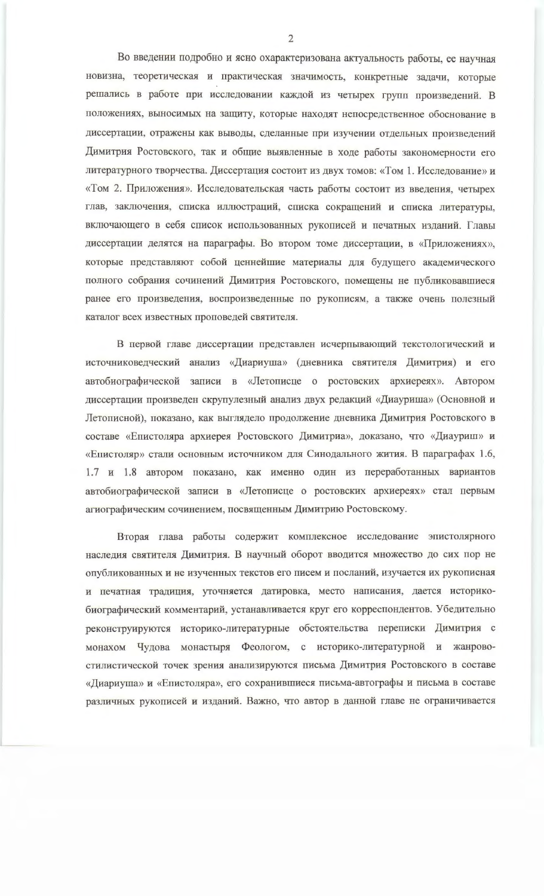Во введении подробно и ясно охарактеризована актуальность работы, ее научная новизна, теоретическая и практическая значимость, конкретные задачи, которые решались в работе при исследовании каждой из четырех групп произведений. В положениях, выносимых на защиту, которые находят непосредственное обоснование в диссертации, отражены как выводы, сделанные при изучении отдельных произведений Димитрия Ростовского, так и общие выявленные в ходе работы закономерности его литературного творчества. Диссертация состоит из двух томов: «Том 1. Исследование» и «Том 2. Приложения». Исследовательская часть работы состоит из введения, четырех глав, заключения, списка иллюстраций, списка сокращений и списка литературы, включающего в себя список использованных рукописей и печатных изданий. Главы диссертации делятся на параграфы. Во втором томе диссертации, в «Приложениях», которые представляют собой ценнейшие материалы для будущего академического полного собрания сочинений Димитрия Ростовского, помещены не публиковавшиеся ранее его произведения, воспроизведенные по рукописям, а также очень полезный каталог всех известных проповедей святителя.

В первой главе диссертации представлен исчерпывающий текстологический и источниковедческий анализ «Диариуша» (дневника святителя Димитрия) и его автобиографической записи в «Летописце о ростовских архиереях». Автором диссертации произведен скрупулезный анализ двух редакций «Диауриша» (Основной и Летописной), показано, как выглядело продолжение дневника Димитрия Ростовского в составе «Епистоляра архиерея Ростовского Димитриа», доказано, что «Диауриш» и «Епистоляр» стали основным источником для Синодального жития. В параграфах 1.6, 1.7 и 1.8 автором показано, как именно один из переработанных вариантов автобиографической записи в «Летописце о ростовских архиереях» стал первым агиографическим сочинением, посвященным Димитрию Ростовскому.

Вторая глава работы содержит комплексное исследование эпистолярного наследия святителя Димитрия. В научный оборот вводится множество до сих пор не опубликованных и не изученных текстов его писем и посланий, изучается их рукописная и печатная традиция, уточняется датировка, место написания, дается историкобиографический комментарий, устанавливается круг его корреспондентов. Убедительно реконструируются историко-литературные обстоятельства переписки Димитрия с монахом Чудова монастыря Феологом, с историко-литературной и жанровостилистической точек зрения анализируются письма Димитрия Ростовского в составе «Диариуша» и «Епистоляра», его сохранившиеся письма-автографы и письма в составе различных рукописей и изданий. Важно, что автор в данной главе не ограничивается

 $\mathcal{L}$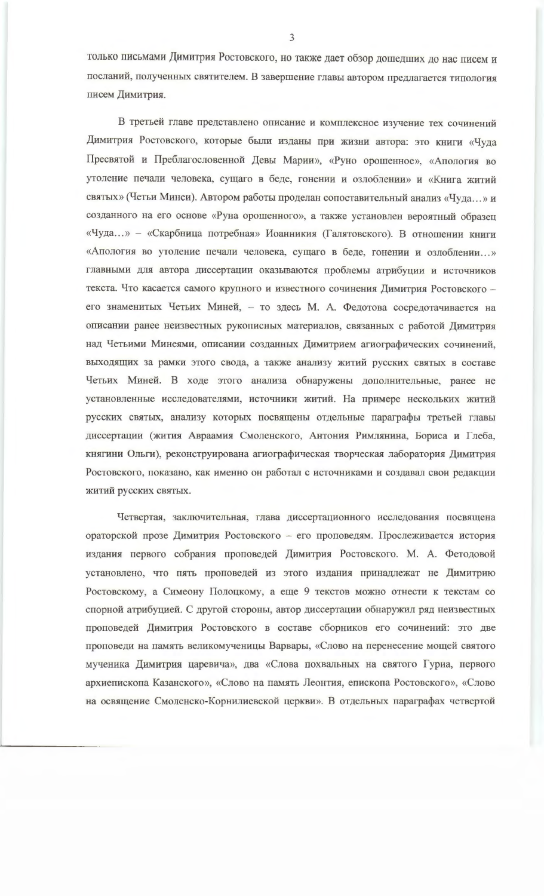только письмами Димитрия Ростовского, но также дает обзор дошедших до нас писем и посланий, полученных святителем. В завершение главы автором предлагается типология писем Димитрия.

В третьей главе представлено описание и комплексное изучение тех сочинений Димитрия Ростовского, которые были изданы при жизни автора: это книги «Чуда Пресвятой и Преблагословенной Девы Марии», «Руно орошенное», «Апология во утоление печали человека, сущаго в беде, гонении и озлоблении» и «Книга житий святых» (Четьи Минеи). Автором работы проделан сопоставительный анализ «Чуда...» и созданного на его основе «Руна орошенного», а также установлен вероятный образец «Чуда...» - «Скарбница потребная» Иоанникия (Галятовского). В отношении книги «Апология во утоление печали человека, сущаго в беде, гонении и озлоблении...» главными для автора диссертации оказываются проблемы атрибуции и источников текста. Что касается самого крупного и известного сочинения Димитрия Ростовского его знаменитых Четьих Миней, - то здесь М. А. Федотова сосредотачивается на описании ранее неизвестных рукописных материалов, связанных с работой Димитрия над Четьими Минеями, описании созданных Димитрием агиографических сочинений, выходящих за рамки этого свода, а также анализу житий русских святых в составе Четьих Миней. В ходе этого анализа обнаружены дополнительные, ранее не установленные исследователями, источники житий. На примере нескольких житий русских святых, анализу которых посвящены отдельные параграфы третьей главы диссертации (жития Авраамия Смоленского, Антония Римлянина, Бориса и Глеба, княгини Ольги), реконструирована агиографическая творческая лаборатория Димитрия Ростовского, показано, как именно он работал с источниками и создавал свои редакции житий русских святых.

Четвертая, заключительная, глава диссертационного исследования посвящена ораторской прозе Димитрия Ростовского - его проповедям. Прослеживается история издания первого собрания проповедей Димитрия Ростовского. М. А. Фетодовой установлено, что пять проповедей из этого издания принадлежат не Димитрию Ростовскому, а Симеону Полоцкому, а еще 9 текстов можно отнести к текстам со спорной атрибуцией. С другой стороны, автор диссертации обнаружил ряд неизвестных проповедей Димитрия Ростовского в составе сборников его сочинений: это две проповеди на память великомученицы Варвары, «Слово на перенесение мощей святого мученика Димитрия царевича», два «Слова похвальных на святого Гуриа, первого архиепископа Казанского», «Слово на память Леонтия, епископа Ростовского», «Слово на освящение Смоленско-Корнилиевской церкви». В отдельных параграфах четвертой

 $\overline{3}$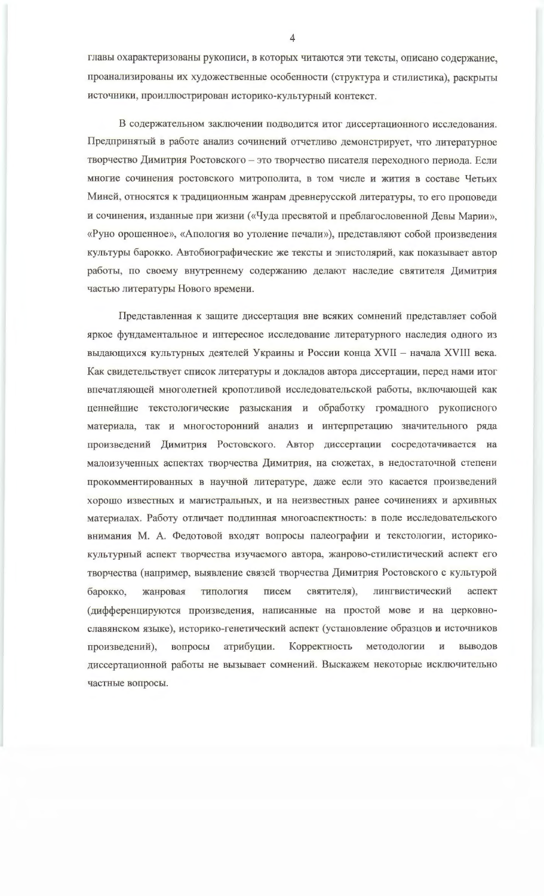главы охарактеризованы рукописи, в которых читаются эти тексты, описано содержание, проанализированы их художественные особенности (структура и стилистика), раскрыты источники, проиллюстрирован историко-культурный контекст.

В содержательном заключении подводится итог диссертационного исследования. Предпринятый в работе анализ сочинений отчетливо демонстрирует, что литературное творчество Димитрия Ростовского - это творчество писателя переходного периода. Если многие сочинения ростовского митрополита, в том числе и жития в составе Четьих Миней, относятся к традиционным жанрам древнерусской литературы, то его проповеди и сочинения, изданные при жизни («Чуда пресвятой и преблагословенной Девы Марии», «Руно орошенное», «Апология во утоление печали»), представляют собой произведения культуры барокко. Автобиографические же тексты и эпистолярий, как показывает автор работы, по своему внутреннему содержанию делают наследие святителя Димитрия частью литературы Нового времени.

Представленная к защите диссертация вне всяких сомнений представляет собой яркое фундаментальное и интересное исследование литературного наследия одного из выдающихся культурных деятелей Украины и России конца XVII - начала XVIII века. Как свидетельствует список литературы и докладов автора диссертации, перед нами итог впечатляющей многолетней кропотливой исследовательской работы, включающей как ценнейшие текстологические разыскания и обработку громадного рукописного материала, так и многосторонний анализ и интерпретацию значительного ряда произведений Димитрия Ростовского. Автор диссертации сосредотачивается на малоизученных аспектах творчества Димитрия, на сюжетах, в недостаточной степени прокомментированных в научной литературе, даже если это касается произведений хорошо известных и магистральных, и на неизвестных ранее сочинениях и архивных материалах. Работу отличает подлинная многоаспектность: в поле исследовательского внимания М. А. Федотовой входят вопросы палеографии и текстологии, историкокультурный аспект творчества изучаемого автора, жанрово-стилистический аспект его творчества (например, выявление связей творчества Димитрия Ростовского с культурой святителя), барокко, жанровая типология писем лингвистический аспект (дифференцируются произведения, написанные на простой мове и на церковнославянском языке), историко-генетический аспект (установление образцов и источников атрибуции. Корректность методологии выводов произведений), вопросы И диссертационной работы не вызывает сомнений. Выскажем некоторые исключительно частные вопросы.

4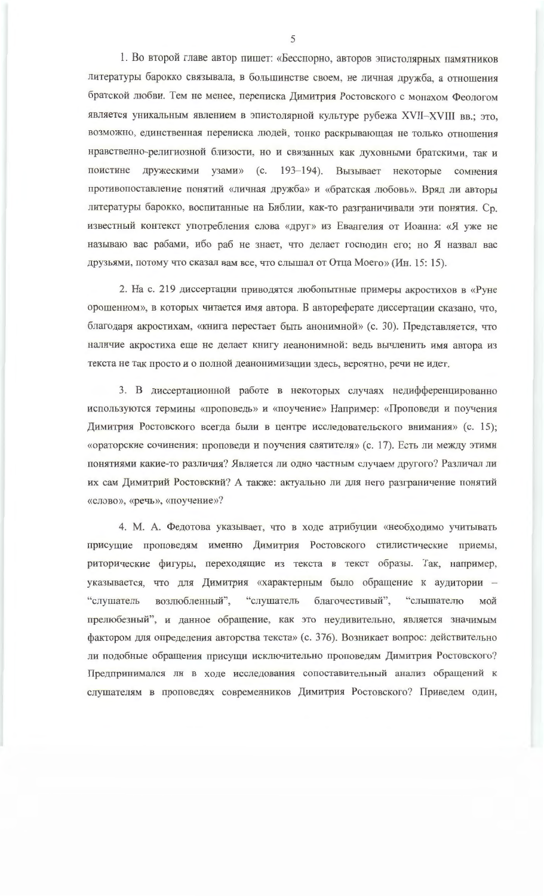1. Во второй главе автор пишет: «Бесспорно, авторов эпистолярных памятников литературы барокко связывала, в большинстве своем, не личная дружба, а отношения братской любви. Тем не менее, переписка Димитрия Ростовского с монахом Феологом является уникальным явлением в эпистолярной культуре рубежа XVII-XVIII вв.; это, возможно, единственная переписка людей, тонко раскрывающая не только отношения нравственно-религиозной близости, но и связанных как духовными братскими, так и поистине дружескими узами» (с. 193-194). Вызывает некоторые сомнения противопоставление понятий «личная дружба» и «братская любовь». Вряд ли авторы литературы барокко, воспитанные на Библии, как-то разграничивали эти понятия. Ср. известный контекст употребления слова «друг» из Евангелия от Иоанна: «Я уже не называю вас рабами, ибо раб не знает, что делает господин его; но Я назвал вас друзьями, потому что сказал вам все, что слышал от Отца Моего» (Ин. 15: 15).

2. На с. 219 диссертации приводятся любопытные примеры акростихов в «Руне орошенном», в которых читается имя автора. В автореферате диссертации сказано, что, благодаря акростихам, «книга перестает быть анонимной» (с. 30). Представляется, что наличие акростиха еще не делает книгу неанонимной: ведь вычленить имя автора из текста не так просто и о полной деанонимизации здесь, вероятно, речи не идет.

3. В диссертационной работе в некоторых случаях недифференцированно используются термины «проповедь» и «поучение» Например: «Проповеди и поучения Димитрия Ростовского всегда были в центре исследовательского внимания» (с. 15); «ораторские сочинения: проповеди и поучения святителя» (с. 17). Есть ли между этими понятиями какие-то различия? Является ли одно частным случаем другого? Различал ли их сам Димитрий Ростовский? А также: актуально ли для него разграничение понятий «слово», «речь», «поучение»?

4. М. А. Федотова указывает, что в ходе атрибуции «необходимо учитывать присущие проповедям именно Димитрия Ростовского стилистические приемы, риторические фигуры, переходящие из текста в текст образы. Так, например, указывается, что для Димитрия «характерным было обращение к аудитории возлюбленный", "слушатель "слушатель благочестивый", "слышателю мой прелюбезный", и данное обращение, как это неудивительно, является значимым фактором для определения авторства текста» (с. 376). Возникает вопрос: действительно ли подобные обращения присущи исключительно проповедям Димитрия Ростовского? Предпринимался ли в ходе исследования сопоставительный анализ обращений к слушателям в проповедях современников Димитрия Ростовского? Приведем один,

 $\overline{\mathcal{L}}$